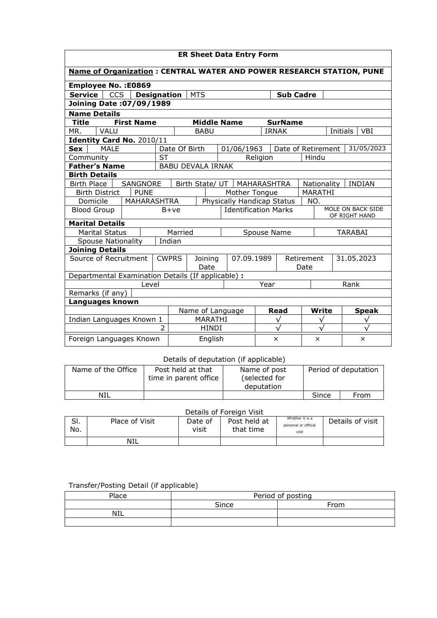| <b>ER Sheet Data Entry Form</b>                                             |                                                                                                                  |                    |                             |                          |                 |            |          |                            |          |               |                        |  |
|-----------------------------------------------------------------------------|------------------------------------------------------------------------------------------------------------------|--------------------|-----------------------------|--------------------------|-----------------|------------|----------|----------------------------|----------|---------------|------------------------|--|
| <b>Name of Organization: CENTRAL WATER AND POWER RESEARCH STATION, PUNE</b> |                                                                                                                  |                    |                             |                          |                 |            |          |                            |          |               |                        |  |
| Employee No. : E0869                                                        |                                                                                                                  |                    |                             |                          |                 |            |          |                            |          |               |                        |  |
| CCS<br>Service                                                              |                                                                                                                  | <b>Designation</b> |                             | <b>MTS</b>               |                 |            |          | <b>Sub Cadre</b>           |          |               |                        |  |
| <b>Joining Date: 07/09/1989</b>                                             |                                                                                                                  |                    |                             |                          |                 |            |          |                            |          |               |                        |  |
| <b>Name Details</b>                                                         |                                                                                                                  |                    |                             |                          |                 |            |          |                            |          |               |                        |  |
| <b>Title</b>                                                                | <b>First Name</b>                                                                                                |                    |                             | <b>Middle Name</b>       |                 |            |          | <b>SurName</b>             |          |               |                        |  |
| VALU<br>MR.                                                                 |                                                                                                                  |                    |                             | <b>BABU</b>              |                 |            |          | <b>IRNAK</b>               |          |               | Initials<br><b>VBI</b> |  |
| Identity Card No. 2010/11                                                   |                                                                                                                  |                    |                             |                          |                 |            |          |                            |          |               |                        |  |
| <b>Sex</b><br>MAI F                                                         |                                                                                                                  |                    |                             | Date Of Birth            |                 | 01/06/1963 |          | Date of Retirement         |          |               | 31/05/2023             |  |
| Community                                                                   |                                                                                                                  | <b>ST</b>          |                             |                          |                 |            | Religion |                            | Hindu    |               |                        |  |
| <b>Father's Name</b>                                                        |                                                                                                                  |                    |                             | <b>BABU DEVALA IRNAK</b> |                 |            |          |                            |          |               |                        |  |
| <b>Birth Details</b>                                                        |                                                                                                                  |                    |                             |                          |                 |            |          |                            |          |               |                        |  |
|                                                                             | Birth Place<br>SANGNORE                                                                                          |                    |                             |                          | Birth State/ UT |            |          | MAHARASHTRA<br>Nationality |          |               | <b>INDIAN</b>          |  |
| <b>PUNE</b><br>Mother Tongue<br><b>MARATHI</b><br><b>Birth District</b>     |                                                                                                                  |                    |                             |                          |                 |            |          |                            |          |               |                        |  |
|                                                                             | Physically Handicap Status<br>Domicile<br>MAHARASHTRA<br>NO.<br>MOLE ON BACK SIDE<br><b>Identification Marks</b> |                    |                             |                          |                 |            |          |                            |          |               |                        |  |
| <b>Blood Group</b>                                                          |                                                                                                                  | $B+ve$             |                             |                          |                 |            |          |                            |          | OF RIGHT HAND |                        |  |
| <b>Marital Details</b>                                                      |                                                                                                                  |                    |                             |                          |                 |            |          |                            |          |               |                        |  |
| <b>Marital Status</b>                                                       |                                                                                                                  |                    | Married<br>Spouse Name      |                          |                 |            |          |                            |          |               | <b>TARABAI</b>         |  |
| Indian<br><b>Spouse Nationality</b>                                         |                                                                                                                  |                    |                             |                          |                 |            |          |                            |          |               |                        |  |
| <b>Joining Details</b>                                                      |                                                                                                                  |                    |                             |                          |                 |            |          |                            |          |               |                        |  |
| Source of Recruitment                                                       |                                                                                                                  |                    | <b>CWPRS</b><br>Joining     |                          |                 | 07.09.1989 |          | Retirement                 |          |               | 31.05.2023             |  |
|                                                                             |                                                                                                                  |                    |                             | Date                     |                 |            |          |                            | Date     |               |                        |  |
| Departmental Examination Details (If applicable) :                          |                                                                                                                  |                    |                             |                          |                 |            |          |                            |          |               |                        |  |
|                                                                             | Level                                                                                                            |                    |                             |                          | Year            |            |          |                            | Rank     |               |                        |  |
| Remarks (if any)<br>Languages known                                         |                                                                                                                  |                    |                             |                          |                 |            |          |                            |          |               |                        |  |
|                                                                             |                                                                                                                  |                    |                             |                          |                 |            |          | Read                       | Write    |               | <b>Speak</b>           |  |
| Indian Languages Known 1                                                    |                                                                                                                  |                    | Name of Language<br>MARATHI |                          |                 | ν          |          |                            | ν        |               | $\sqrt{}$              |  |
|                                                                             |                                                                                                                  |                    | <b>HINDI</b>                |                          |                 |            |          |                            |          |               |                        |  |
| Foreign Languages Known<br>English                                          |                                                                                                                  |                    |                             |                          |                 |            |          | ×                          | $\times$ |               | ×                      |  |

## Details of deputation (if applicable)

| Name of the Office | Post held at that<br>time in parent office | Name of post<br>(selected for<br>deputation | Period of deputation |      |  |
|--------------------|--------------------------------------------|---------------------------------------------|----------------------|------|--|
| NIL                |                                            |                                             | Since                | From |  |
|                    |                                            |                                             |                      |      |  |

## Details of Foreign Visit

| $\sim$<br>וכ.<br>No. | Place of Visit | Date of<br>visit | Post held at<br>that time | Whether it is a<br>personal or official<br>visit | Details of visit |
|----------------------|----------------|------------------|---------------------------|--------------------------------------------------|------------------|
|                      | NIL            |                  |                           |                                                  |                  |

## Transfer/Posting Detail (if applicable)

| Place      | Period of posting |             |  |  |  |  |  |
|------------|-------------------|-------------|--|--|--|--|--|
|            | Since             | <b>From</b> |  |  |  |  |  |
| <b>NIL</b> |                   |             |  |  |  |  |  |
|            |                   |             |  |  |  |  |  |